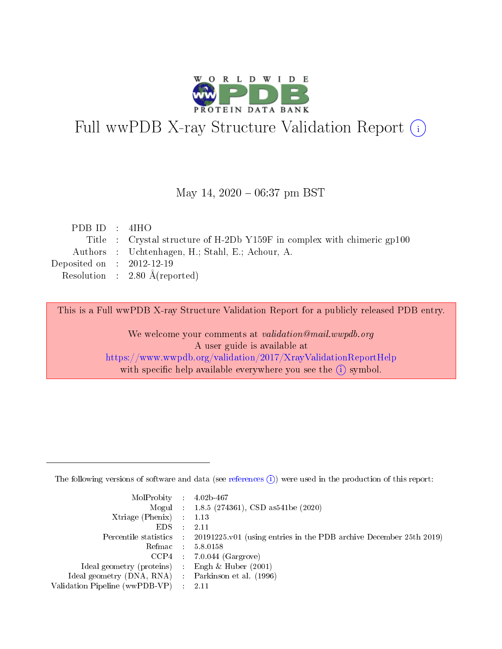

# Full wwPDB X-ray Structure Validation Report (i)

#### May 14,  $2020 - 06:37$  pm BST

| PDBID : 4IHO                |                                                                         |
|-----------------------------|-------------------------------------------------------------------------|
|                             | Title : Crystal structure of H-2Db Y159F in complex with chimeric gp100 |
|                             | Authors : Uchtenhagen, H.; Stahl, E.; Achour, A.                        |
| Deposited on : $2012-12-19$ |                                                                         |
|                             | Resolution : $2.80 \text{ Å}$ (reported)                                |
|                             |                                                                         |

This is a Full wwPDB X-ray Structure Validation Report for a publicly released PDB entry.

We welcome your comments at validation@mail.wwpdb.org A user guide is available at <https://www.wwpdb.org/validation/2017/XrayValidationReportHelp> with specific help available everywhere you see the  $(i)$  symbol.

The following versions of software and data (see [references](https://www.wwpdb.org/validation/2017/XrayValidationReportHelp#references)  $(1)$ ) were used in the production of this report:

| $MolProbability$ : 4.02b-467                        |                                                                                            |
|-----------------------------------------------------|--------------------------------------------------------------------------------------------|
|                                                     | Mogul : 1.8.5 (274361), CSD as 541be (2020)                                                |
| Xtriage (Phenix) $: 1.13$                           |                                                                                            |
| EDS :                                               | -2.11                                                                                      |
|                                                     | Percentile statistics : 20191225.v01 (using entries in the PDB archive December 25th 2019) |
| Refmac 58.0158                                      |                                                                                            |
|                                                     | $CCP4$ 7.0.044 (Gargrove)                                                                  |
| Ideal geometry (proteins) : Engh $\&$ Huber (2001)  |                                                                                            |
| Ideal geometry (DNA, RNA) : Parkinson et al. (1996) |                                                                                            |
| Validation Pipeline (wwPDB-VP) : 2.11               |                                                                                            |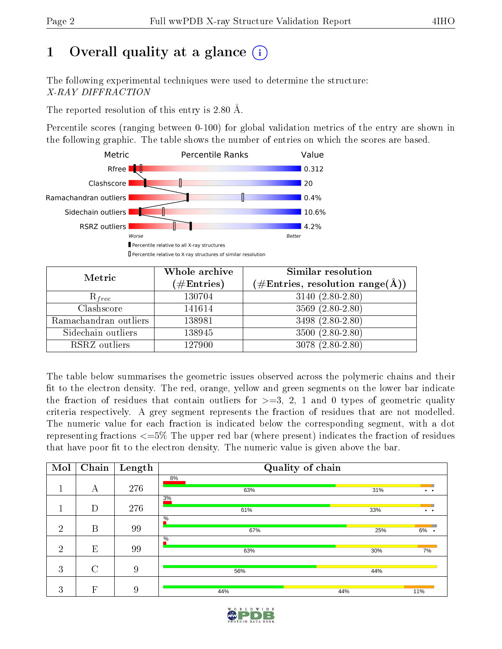# 1 [O](https://www.wwpdb.org/validation/2017/XrayValidationReportHelp#overall_quality)verall quality at a glance  $(i)$

The following experimental techniques were used to determine the structure: X-RAY DIFFRACTION

The reported resolution of this entry is 2.80 Å.

Percentile scores (ranging between 0-100) for global validation metrics of the entry are shown in the following graphic. The table shows the number of entries on which the scores are based.



| Metric                | Whole archive<br>$(\#\text{Entries})$ | Similar resolution<br>$(\#\text{Entries},\,\text{resolution}\,\,\text{range}(\textup{\AA}))$ |
|-----------------------|---------------------------------------|----------------------------------------------------------------------------------------------|
| $R_{free}$            | 130704                                | $3140 (2.80 - 2.80)$                                                                         |
| Clashscore            | 141614                                | $3569(2.80-2.80)$                                                                            |
| Ramachandran outliers | 138981                                | 3498 (2.80-2.80)                                                                             |
| Sidechain outliers    | 138945                                | $3500(2.80-2.80)$                                                                            |
| RSRZ outliers         | 127900                                | 3078 (2.80-2.80)                                                                             |

The table below summarises the geometric issues observed across the polymeric chains and their fit to the electron density. The red, orange, yellow and green segments on the lower bar indicate the fraction of residues that contain outliers for  $>=3, 2, 1$  and 0 types of geometric quality criteria respectively. A grey segment represents the fraction of residues that are not modelled. The numeric value for each fraction is indicated below the corresponding segment, with a dot representing fractions  $\epsilon=5\%$  The upper red bar (where present) indicates the fraction of residues that have poor fit to the electron density. The numeric value is given above the bar.

| Mol            | $\overline{\text{Chain}}$ | Length | Quality of chain |     |                      |
|----------------|---------------------------|--------|------------------|-----|----------------------|
|                |                           |        | 8%               |     |                      |
|                | А                         | 276    | 63%              | 31% | $\bullet$ $\bullet$  |
|                |                           |        | 3%               |     |                      |
|                | D                         | 276    | 61%              | 33% | $\ddot{\phantom{a}}$ |
|                |                           |        | $\%$             |     |                      |
| $\overline{2}$ | B                         | 99     | 67%              | 25% | $6\%$ .              |
|                |                           |        | $\%$             |     |                      |
| $\overline{2}$ | E                         | 99     | 63%              | 30% | 7%                   |
|                |                           |        |                  |     |                      |
| 3              | $\mathcal{C}$             | 9      | 56%              | 44% |                      |
|                |                           |        |                  |     |                      |
| 3              | F                         | 9      | 44%              | 44% | 11%                  |

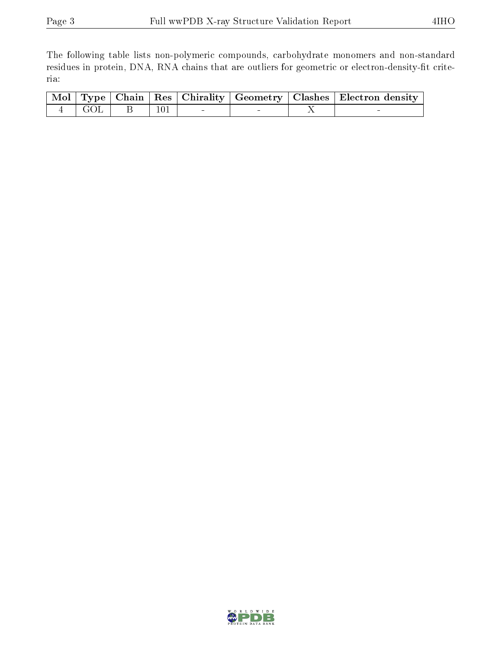The following table lists non-polymeric compounds, carbohydrate monomers and non-standard residues in protein, DNA, RNA chains that are outliers for geometric or electron-density-fit criteria:

|  |  |                                                                        |  | Mol   Type   Chain   Res   Chirality   Geometry   Clashes   Electron density |
|--|--|------------------------------------------------------------------------|--|------------------------------------------------------------------------------|
|  |  | $\begin{array}{ c c c c c c } \hline 101 & & & - \ \hline \end{array}$ |  |                                                                              |

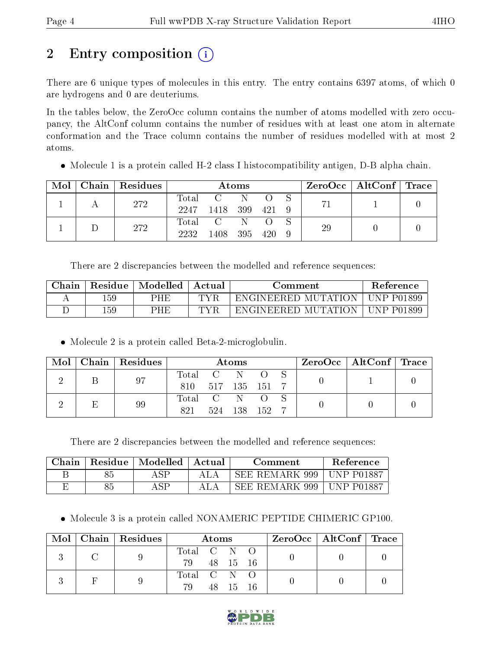# 2 Entry composition (i)

There are 6 unique types of molecules in this entry. The entry contains 6397 atoms, of which 0 are hydrogens and 0 are deuteriums.

In the tables below, the ZeroOcc column contains the number of atoms modelled with zero occupancy, the AltConf column contains the number of residues with at least one atom in alternate conformation and the Trace column contains the number of residues modelled with at most 2 atoms.

Molecule 1 is a protein called H-2 class I histocompatibility antigen, D-B alpha chain.

| Mol | Chain   Residues | Atoms |          |              |  |  |    | $\text{ZeroOcc} \mid \text{AltConf} \mid \text{Trace}$ |  |
|-----|------------------|-------|----------|--------------|--|--|----|--------------------------------------------------------|--|
|     | 272              |       | Total C  | - N          |  |  |    |                                                        |  |
|     |                  | 2247  | - 1418 - | 399 421 9    |  |  |    |                                                        |  |
|     | 272              |       | Total C  | $\mathbb{N}$ |  |  | 29 |                                                        |  |
|     |                  | 2232  | 1408.    | 395 420      |  |  |    |                                                        |  |

There are 2 discrepancies between the modelled and reference sequences:

| Chain | <b>Residue</b> | Modelled | Actual | Comment                          |            |  |  |
|-------|----------------|----------|--------|----------------------------------|------------|--|--|
|       | 159            | PHE      | TVR    | ENGINEERED MUTATION   UNP P01899 |            |  |  |
|       | 159            | PHE      | TVR    | ENGINEERED MUTATION              | UNP P01899 |  |  |

Molecule 2 is a protein called Beta-2-microglobulin.

| Mol | Chain   Residues | Atoms                                                    |     |      |       |  | $\rm ZeroOcc$   Alt $\rm Conf$   Trace |  |
|-----|------------------|----------------------------------------------------------|-----|------|-------|--|----------------------------------------|--|
|     | 97               | Total                                                    |     | N    |       |  |                                        |  |
|     |                  | 810                                                      | 517 | -135 | - 151 |  |                                        |  |
|     | 99               | $\begin{array}{ccc} \text{Total} & \text{C} \end{array}$ |     |      |       |  |                                        |  |
|     |                  | 821                                                      | 524 | 138  | - 152 |  |                                        |  |

There are 2 discrepancies between the modelled and reference sequences:

| Chain | Residue | Modelled | Actual | Comment        | <b>Reference</b>   |
|-------|---------|----------|--------|----------------|--------------------|
|       | つり      | A SP     |        | SEE REMARK 999 | <b>IINP P01887</b> |
|       |         | A CD     |        | SEE REMARK 999 | <b>IINP P01887</b> |

• Molecule 3 is a protein called NONAMERIC PEPTIDE CHIMERIC GP100.

| $\cdot$ Mol $^+$ | $\mid$ Chain $\mid$ Residues $\mid$ | Atoms       |  |          |  | ZeroOcc   AltConf   Trace |  |
|------------------|-------------------------------------|-------------|--|----------|--|---------------------------|--|
|                  |                                     | Total C N O |  |          |  |                           |  |
|                  |                                     | 79 48 15 16 |  |          |  |                           |  |
|                  |                                     | Total C N O |  |          |  |                           |  |
|                  |                                     | 79.         |  | 48 15 16 |  |                           |  |

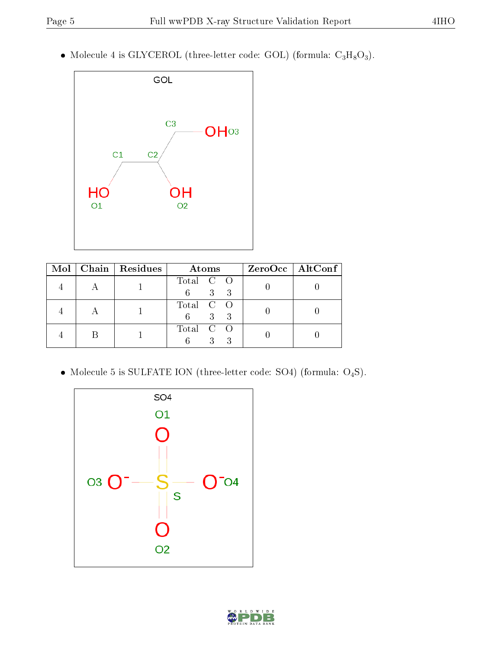• Molecule 4 is GLYCEROL (three-letter code: GOL) (formula:  $C_3H_8O_3$ ).



|  | Mol   Chain   Residues | Atoms                             | $ZeroOcc \mid AltConf \mid$ |
|--|------------------------|-----------------------------------|-----------------------------|
|  |                        | Total C O<br>3 3<br>$6 -$         |                             |
|  |                        | Total C O<br>$3 \quad 3$<br>$6 -$ |                             |
|  |                        | Total C O                         |                             |

Molecule 5 is SULFATE ION (three-letter code: SO4) (formula: O4S).



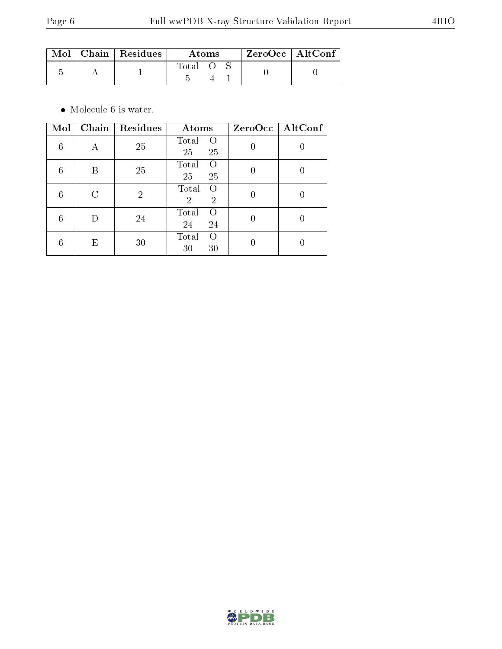|  | $\blacksquare$ Mol $\vert$ Chain $\vert$ Residues $\vert$ | Atoms |  |  | $ZeroOcc$   AltConf |
|--|-----------------------------------------------------------|-------|--|--|---------------------|
|  |                                                           | Total |  |  |                     |

 $\bullet\,$  Molecule 6 is water.

| Mol | Chain | Residues       | Atoms                                                   |   | ZeroOcc   AltConf |
|-----|-------|----------------|---------------------------------------------------------|---|-------------------|
| 6   | А     | 25             | Total<br>$\left( \right)$<br>25<br>25                   |   |                   |
| 6   | R     | 25             | Total<br>$\left( \right)$<br>25<br>25                   |   |                   |
| 6   | C     | $\overline{2}$ | Total<br>$\bigcirc$<br>$\overline{2}$<br>$\overline{2}$ |   |                   |
| 6   | D     | 24             | Total<br>∩<br>24<br>24                                  | 0 | O                 |
| 6   | Е     | 30             | Total<br>$\left( \right)$<br>30<br>30                   |   |                   |

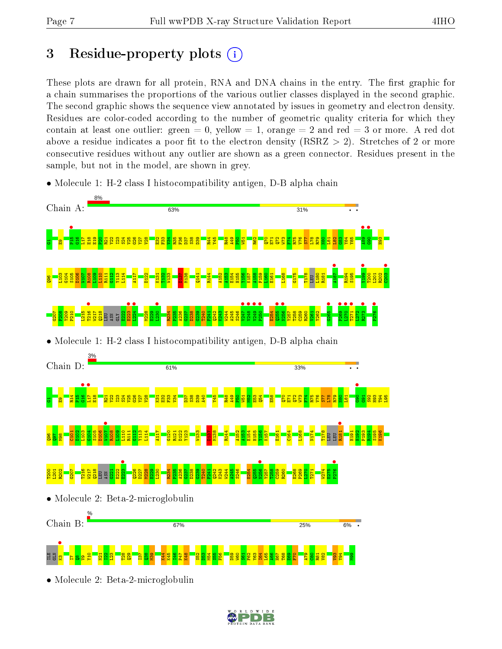# 3 Residue-property plots  $(i)$

These plots are drawn for all protein, RNA and DNA chains in the entry. The first graphic for a chain summarises the proportions of the various outlier classes displayed in the second graphic. The second graphic shows the sequence view annotated by issues in geometry and electron density. Residues are color-coded according to the number of geometric quality criteria for which they contain at least one outlier: green  $= 0$ , yellow  $= 1$ , orange  $= 2$  and red  $= 3$  or more. A red dot above a residue indicates a poor fit to the electron density (RSRZ  $> 2$ ). Stretches of 2 or more consecutive residues without any outlier are shown as a green connector. Residues present in the sample, but not in the model, are shown in grey.

• Molecule 1: H-2 class I histocompatibility antigen, D-B alpha chain



• Molecule 2: Beta-2-microglobulin

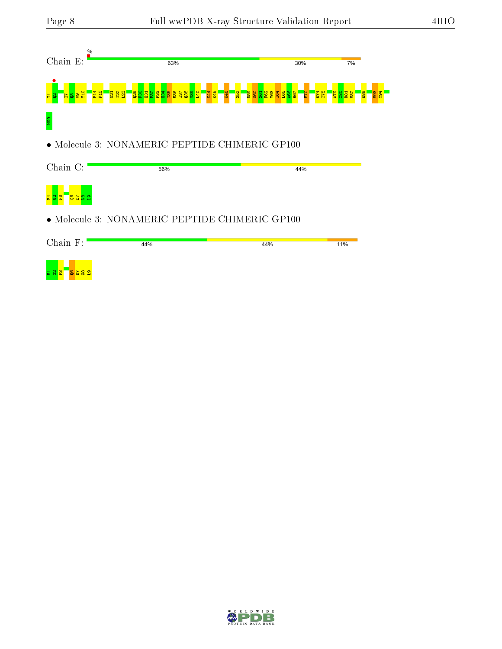

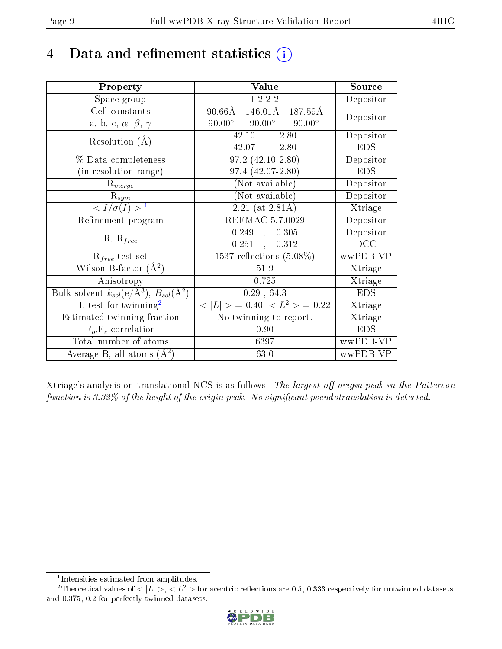# 4 Data and refinement statistics  $(i)$

| Property                                                             | Value                                           | Source     |
|----------------------------------------------------------------------|-------------------------------------------------|------------|
| Space group                                                          | I 2 2 2                                         | Depositor  |
| Cell constants                                                       | $90.66\text{\AA}$<br>146.01Å<br>187.59Å         | Depositor  |
| a, b, c, $\alpha$ , $\beta$ , $\gamma$                               | $90.00^{\circ}$ $90.00^{\circ}$ $90.00^{\circ}$ |            |
| Resolution $(A)$                                                     | 42.10<br>$-2.80$                                | Depositor  |
|                                                                      | $42.07 - 2.80$                                  | <b>EDS</b> |
| % Data completeness                                                  | $97.2(42.10-2.80)$                              | Depositor  |
| (in resolution range)                                                | $97.4(42.07-2.80)$                              | <b>EDS</b> |
| $R_{merge}$                                                          | (Not available)                                 | Depositor  |
| $\mathrm{R}_{sym}$                                                   | (Not available)                                 | Depositor  |
| $\langle I/\sigma(I) \rangle^{-1}$                                   | $2.21$ (at 2.81Å)                               | Xtriage    |
| Refinement program                                                   | REFMAC 5.7.0029                                 | Depositor  |
|                                                                      | $\overline{0.249}$ ,<br>0.305                   | Depositor  |
| $R, R_{free}$                                                        | $0.251$ ,<br>0.312                              | DCC        |
| $R_{free}$ test set                                                  | 1537 reflections $(5.08\%)$                     | wwPDB-VP   |
| Wilson B-factor $(A^2)$                                              | $51.9\,$                                        | Xtriage    |
| Anisotropy                                                           | 0.725                                           | Xtriage    |
| Bulk solvent $k_{sol}(e/\mathring{A}^3)$ , $B_{sol}(\mathring{A}^2)$ | 0.29, 64.3                                      | <b>EDS</b> |
| L-test for twinning <sup>2</sup>                                     | $< L >$ = 0.40, $< L^2 >$ = 0.22                | Xtriage    |
| Estimated twinning fraction                                          | No twinning to report.                          | Xtriage    |
| $F_o, F_c$ correlation                                               | 0.90                                            | <b>EDS</b> |
| Total number of atoms                                                | 6397                                            | wwPDB-VP   |
| Average B, all atoms $(A^2)$                                         | 63.0                                            | wwPDB-VP   |

Xtriage's analysis on translational NCS is as follows: The largest off-origin peak in the Patterson function is  $3.32\%$  of the height of the origin peak. No significant pseudotranslation is detected.

<sup>&</sup>lt;sup>2</sup>Theoretical values of  $\langle |L| \rangle$ ,  $\langle L^2 \rangle$  for acentric reflections are 0.5, 0.333 respectively for untwinned datasets, and 0.375, 0.2 for perfectly twinned datasets.



<span id="page-8-1"></span><span id="page-8-0"></span><sup>1</sup> Intensities estimated from amplitudes.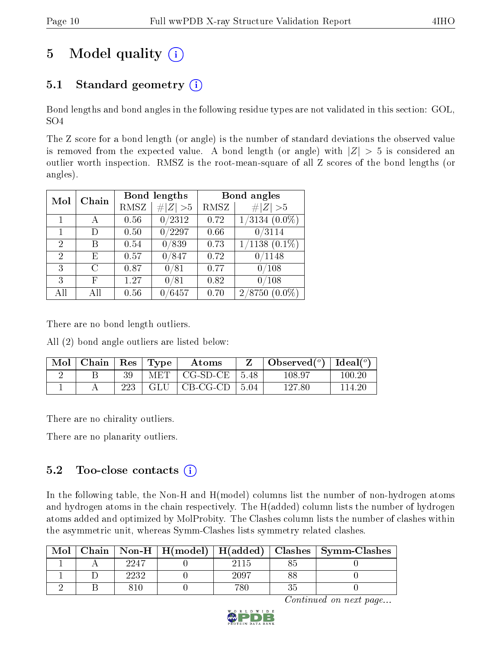# 5 Model quality  $(i)$

## 5.1 Standard geometry  $(i)$

Bond lengths and bond angles in the following residue types are not validated in this section: GOL, SO4

The Z score for a bond length (or angle) is the number of standard deviations the observed value is removed from the expected value. A bond length (or angle) with  $|Z| > 5$  is considered an outlier worth inspection. RMSZ is the root-mean-square of all Z scores of the bond lengths (or angles).

| Mol            | Chain | <b>Bond lengths</b> |                  | Bond angles |                                       |
|----------------|-------|---------------------|------------------|-------------|---------------------------------------|
|                |       | RMSZ                | H Z <br>>5       | RMSZ        | # $ Z  > 5$                           |
| 1              |       | 0.56                | 0/2312           | 0.72        | $1/3134$ $(0.0\%)$                    |
| 1              | D)    | 0.50                | $\frac{0}{2297}$ | 0.66        | 0/3114                                |
| $\overline{2}$ | В     | 0.54                | 0/839            | 0.73        | $1/1138$ $(0.1\%)$                    |
| $\overline{2}$ | Е     | 0.57                | 0/847            | 0.72        | 0/1148                                |
| 3              | С     | 0.87                | 0/81             | 0.77        | /108                                  |
| 3              | F     | 1.27                | 0/81             | 0.82        | $\sqrt{108}$                          |
| AH             | ΑH    | 0.56                | /6457            | 0.70        | $^{\prime}8750$<br>$(0.0\%)$<br>$2\,$ |

There are no bond length outliers.

All (2) bond angle outliers are listed below:

| Mol | Chain | $\operatorname{Res}$ | Type                 | $\rm{Atoms}$ |       | Observed $(°)$ | Ideal $(°)$ |
|-----|-------|----------------------|----------------------|--------------|-------|----------------|-------------|
|     |       | 39                   | $\operatorname{MET}$ | $CG-SD-CE$   | 5.48  | 108.97         | 100.20      |
|     |       | 223                  | GLU                  | $CB-CG-CD$   | -5.04 | $127.80\,$     | 114-26      |

There are no chirality outliers.

There are no planarity outliers.

### $5.2$  Too-close contacts  $(i)$

In the following table, the Non-H and H(model) columns list the number of non-hydrogen atoms and hydrogen atoms in the chain respectively. The H(added) column lists the number of hydrogen atoms added and optimized by MolProbity. The Clashes column lists the number of clashes within the asymmetric unit, whereas Symm-Clashes lists symmetry related clashes.

| Mol | Chain |      |      | $\mid$ Non-H $\mid$ H(model) $\mid$ H(added) $\mid$ Clashes $\mid$ Symm-Clashes |
|-----|-------|------|------|---------------------------------------------------------------------------------|
|     |       | 2247 |      |                                                                                 |
|     |       | 2232 | 2097 |                                                                                 |
|     |       |      |      |                                                                                 |

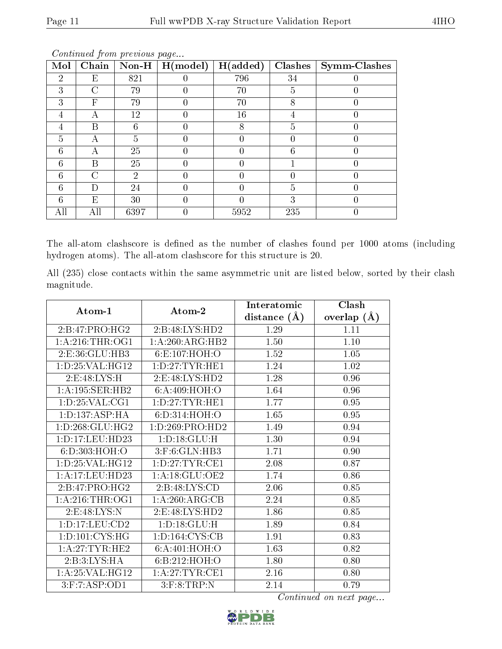| Mol            | Chain |                | $\mid$ Non-H $\mid$ H(model) | H(added) | <b>Clashes</b> | $\mid$ Symm-Clashes |
|----------------|-------|----------------|------------------------------|----------|----------------|---------------------|
| $\overline{2}$ | Ε     | 821            |                              | 796      | 34             |                     |
| 3              | C     | 79             |                              | 70       | 5              |                     |
| 3              | F     | 79             |                              | 70       | 8              |                     |
| 4              |       | 12             |                              | 16       |                |                     |
| 4              | B     | 6              |                              | 8        | 5              |                     |
| 5              | А     | 5              |                              |          |                |                     |
| 6              | А     | 25             |                              |          | 6              | 0                   |
| 6              | В     | 25             |                              |          |                |                     |
| 6              | C     | $\overline{2}$ |                              |          |                |                     |
| 6              | Ð     | 24             |                              |          | 5              |                     |
| 6              | Ε     | 30             |                              |          | 3              |                     |
| A11            | All   | 6397           |                              | 5952     | 235            |                     |

The all-atom clashscore is defined as the number of clashes found per 1000 atoms (including hydrogen atoms). The all-atom clashscore for this structure is 20.

All (235) close contacts within the same asymmetric unit are listed below, sorted by their clash magnitude.

| Atom-1              | Atom-2                | Interatomic      | Clash           |
|---------------------|-----------------------|------------------|-----------------|
|                     |                       | distance $(\AA)$ | overlap $(\AA)$ |
| 2:B:47:PRO:HG2      | 2:B:48:LYS:HD2        | 1.29             | 1.11            |
| 1: A:216:THR:OG1    | 1:A:260:ARG:HB2       | 1.50             | 1.10            |
| 2:E:36:GLU:HB3      | 6:E:107:HOH:O         | 1.52             | 1.05            |
| 1: D: 25: VAL: HG12 | 1: D: 27: TYR: HE1    | 1.24             | 1.02            |
| 2: E:48: LYS:H      | 2: E:48: LYS: HD2     | 1.28             | 0.96            |
| 1: A: 195: SER: HB2 | 6: A:409:HOH:O        | 1.64             | 0.96            |
| 1: D: 25: VAL: CG1  | 1: D: 27: TYR: HE1    | 1.77             | 0.95            |
| 1: D: 137: ASP: HA  | 6:D:314:HOH:O         | 1.65             | 0.95            |
| 1: D: 268: GLU: HG2 | 1: D: 269: PRO: HD2   | 1.49             | 0.94            |
| 1:D:17:LEU:HD23     | 1: D: 18: GLU: H      | 1.30             | 0.94            |
| 6: D:303:HOH:O      | 3:F:6:GLN:HB3         | 1.71             | 0.90            |
| 1: D: 25: VAL: HG12 | 1: D: 27: TYR: CE1    | 2.08             | 0.87            |
| 1:A:17:LEU:HD23     | 1: A:18: GLU:OE2      | 1.74             | 0.86            |
| 2:B:47:PRO:HG2      | 2:B:48:LYS:CD         | 2.06             | 0.85            |
| 1: A:216:THR:OG1    | 1:A:260:ARG:CB        | 2.24             | 0.85            |
| 2:E:48:LYS:N        | 2:E:48:LYS:HD2        | 1.86             | 0.85            |
| 1: D: 17: LEU: CD2  | 1:D:18:GLU:H          | 1.89             | 0.84            |
| 1: D: 101: CYS: HG  | 1: D: 164: CYS: CB    | 1.91             | 0.83            |
| 1: A:27:TYR:HE2     | 6: A:401:HOH:O        | 1.63             | 0.82            |
| 2:B:3:LYS:HA        | 6:B:212:HOH:O         | 1.80             | 0.80            |
| 1: A:25: VAL:HG12   | 1: A:27:TYR:CE1       | 2.16             | 0.80            |
| 3:F:7:ASP:OD1       | $3:$ F: $8:$ TRP: $N$ | 2.14             | 0.79            |

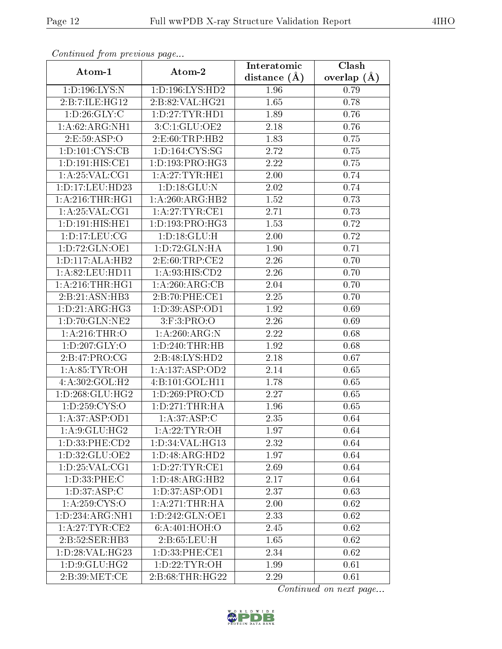| Continual from previous page |                             | Interatomic       | Clash           |
|------------------------------|-----------------------------|-------------------|-----------------|
| Atom-1                       | Atom-2                      | distance $(\AA)$  | overlap $(\AA)$ |
| 1:D:196:LYS:N                | 1:D:196:LYS:HD2             | 1.96              | 0.79            |
| 2:B:7:ILE:HG12               | 2:B:82:VAL:HG21             | 1.65              | 0.78            |
| 1: D:26: GLY: C              | 1: D: 27: TYR: HD1          | 1.89              | 0.76            |
| 1: A:62: ARG: NH1            | 3: C: 1: GLU: OE2           | 2.18              | 0.76            |
| 2.E:59:ASP:O                 | 2: E: 60: TRP: HB2          | 1.83              | 0.75            |
| 1: D: 101: CYS: CB           | 1: D: 164: CYS: SG          | 2.72              | 0.75            |
| 1:D:191:HIS:CE1              | 1: D: 193: PRO:HG3          | 2.22              | 0.75            |
| 1: A:25: VAL:CG1             | 1: A:27:TYR:HE1             | 2.00              | 0.74            |
| 1:D:17:LEU:HD23              | 1: D: 18: GLU: N            | 2.02              | 0.74            |
| 1: A:216:THR:HGI             | 1:A:260:ARG:HB2             | 1.52              | 0.73            |
| 1: A:25: VAL:CG1             | 1: A:27:TYR:CE1             | 2.71              | 0.73            |
| $1:D:191:\overline{HIS:HE1}$ | 1: D: 193: PRO:HG3          | 1.53              | 0.72            |
| 1: D: 17: LEU: CG            | 1: D: 18: GLU: H            | 2.00              | 0.72            |
| 1:D:72:GLN:OE1               | 1: D: 72: GLN: HA           | 1.90              | 0.71            |
| 1: D: 117: ALA: HB2          | 2:E:60:TRP:CE2              | 2.26              | 0.70            |
| 1: A:82:LEU:HD11             | 1: A:93: HIS: CD2           | 2.26              | 0.70            |
| 1: A:216:THR:HGI             | 1: A:260:ARG:CB             | 2.04              | 0.70            |
| 2:B:21:ASN:HB3               | 2:B:70:PHE:CE1              | 2.25              | 0.70            |
| 1: D: 21: ARG: HG3           | 1: D: 39: ASP: OD1          | $\overline{1.92}$ | 0.69            |
| 1: D: 70: GLN: NE2           | $3:$ F: $3:$ PRO:O          | 2.26              | 0.69            |
| 1: A:216:THR:O               | 1:A:260:ARG:N               | $\overline{2.22}$ | 0.68            |
| 1: D: 207: GLY: O            | 1: D: 240: THR: HB          | 1.92              | 0.68            |
| 2: B:47: PRO:CG              | 2:B:48:LYS:HD2              | 2.18              | 0.67            |
| 1: A:85:TYR:OH               | 1:A:137:ASP:OD2             | 2.14              | 0.65            |
| 4:A:302:GOL:H2               | 4:B:101:GOL:H11             | 1.78              | 0.65            |
| 1: D: 268: GLU: HG2          | 1: D:269: PRO:CD            | 2.27              | 0.65            |
| 1:D:259:CYS:O                | 1: D: 271: THR: HA          | 1.96              | 0.65            |
| 1: A:37: ASP:OD1             | 1: A:37: ASP:C              | 2.35              | 0.64            |
| 1: A:9: GLU: HG2             | 1: A:22:TYR:OH              | 1.97              | 0.64            |
| 1:D:33:PHE:CD2               | 1:D:34:VAL:HG13             | 2.32              | 0.64            |
| 1: D:32: GLU:OE2             | $1:D:48:ARG:\overline{HD2}$ | 1.97              | 0.64            |
| 1: D: 25: VAL: CG1           | 1: D: 27: TYR: CE1          | 2.69              | 0.64            |
| 1: D: 33: PHE: C             | 1: D: 48: ARG: HB2          | 2.17              | 0.64            |
| 1: D: 37: ASP:C              | 1:D:37:ASP:OD1              | 2.37              | 0.63            |
| 1: A:259: CYS:O              | 1: A:271:THR:HA             | 2.00              | 0.62            |
| 1:D:234:ARG:NH1              | 1:D:242:GLN:OE1             | 2.33              | 0.62            |
| $1:$ A:27:TYR:CE2            | 6: A:401:HOH:O              | 2.45              | 0.62            |
| 2:B:52:SER:HB3               | 2:B:65:LEU:H                | 1.65              | 0.62            |
| 1: D:28: VAL:HG23            | 1: D: 33: PHE: CE1          | 2.34              | 0.62            |
| 1: D: 9: GLU: HG2            | 1: D: 22: TYR: OH           | 1.99              | 0.61            |
| 2: B:39:MET:CE               | 2:B:68:THR:HG22             | 2.29              | 0.61            |

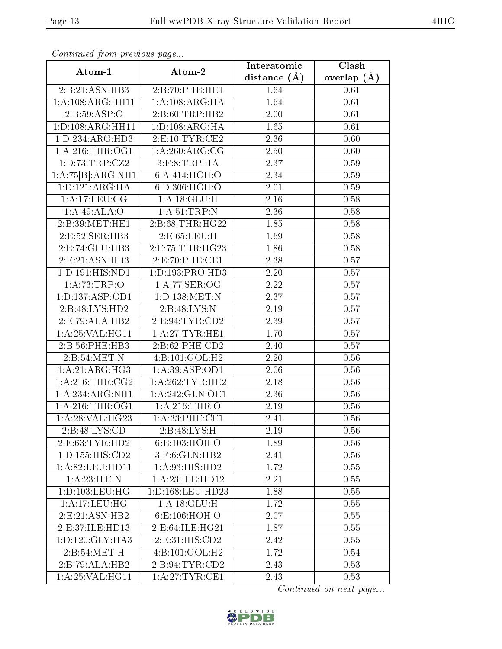| Continuatu jibin previous puge        |                        | Interatomic      | Clash         |
|---------------------------------------|------------------------|------------------|---------------|
| Atom-1                                | Atom-2                 | distance $(\AA)$ | overlap $(A)$ |
| 2:B:21:ASN:HB3                        | 2:B:70:PHE:HE1         | 1.64             | 0.61          |
| 1:A:108:ARG:HH11                      | 1: A:108:ARG:HA        | 1.64             | 0.61          |
| 2: B:59: ASP:O                        | 2:B:60:TRP:HB2         | 2.00             | 0.61          |
| 1: D: 108: ARG: HH11                  | 1: D: 108: ARG: HA     | 1.65             | 0.61          |
| 1: D: 234: ARG: HD3                   | 2: E: 10: TYR: CE2     | 2.36             | 0.60          |
| 1: A:216:THR:OG1                      | 1: A:260:ARG:CG        | 2.50             | 0.60          |
| 1: D: 73: TRP: CZ2                    | $3:$ F: $8:$ TRP: $HA$ | 2.37             | 0.59          |
| $1:A:75[B]:\overline{\text{ARG:NH1}}$ | 6: A:414: HOH:O        | 2.34             | 0.59          |
| 1: D: 121: ARG: HA                    | 6:D:306:HOH:O          | 2.01             | 0.59          |
| 1: A:17: LEU: CG                      | 1:A:18:GLU:H           | 2.16             | 0.58          |
| 1:A:49:ALA:O                          | 1: A:51:TRP:N          | 2.36             | 0.58          |
| 2:B:39:MET:HE1                        | 2: B:68:THR:HG22       | 1.85             | 0.58          |
| 2:E:52:SER:HB3                        | 2:E:65:LEU:H           | 1.69             | 0.58          |
| 2:E:74:GLU:HB3                        | 2:E:75:THR:HG23        | 1.86             | 0.58          |
| 2:E:21:ASN:HB3                        | 2:E:70:PHE:CE1         | 2.38             | 0.57          |
| 1:D:191:HIS:ND1                       | 1: D: 193: PRO: HD3    | 2.20             | 0.57          |
| 1: A: 73: TRP:O                       | 1: A:77: SER:OG        | 2.22             | 0.57          |
| 1: D: 137: ASP: OD1                   | 1:D:138:MET:N          | 2.37             | 0.57          |
| 2:B:48:LYS:HD2                        | 2:B:48:LYS:N           | 2.19             | 0.57          |
| 2:E:79:ALA:HB2                        | 2:E:94:TYR:CD2         | 2.39             | 0.57          |
| 1: A:25: VAL:HGI1                     | 1: A:27:TYR:HE1        | 1.70             | 0.57          |
| 2:B:56:PHE:HB3                        | 2:B:62:PHE:CD2         | 2.40             | 0.57          |
| 2:B:54:MET:N                          | 4:B:101:GOL:H2         | 2.20             | 0.56          |
| 1:A:21:ARG:HG3                        | 1:A:39:ASP:OD1         | 2.06             | 0.56          |
| 1: A:216:THR:CG2                      | 1: A:262:TYR:HE2       | 2.18             | 0.56          |
| 1:A:234:ARG:NH1                       | 1: A:242: GLN:OE1      | 2.36             | 0.56          |
| 1: A:216:THR:OG1                      | 1: A:216:THR:O         | 2.19             | 0.56          |
| 1:A:28:VAL:HG23                       | 1: A:33: PHE:CE1       | 2.41             | 0.56          |
| 2:B:48:LYS:CD                         | 2:B:48:LYS:H           | 2.19             | 0.56          |
| 2: E: 63: TYR: HD2                    | 6: E: 103: HOH: O      | 1.89             | 0.56          |
| 1: D: 155: HIS: CD2                   | $3:$ F:6:GLN:HB2       | 2.41             | 0.56          |
| 1:A:82:LEU:HD11                       | 1: A:93: HIS: HD2      | 1.72             | 0.55          |
| 1:A:23:ILE:N                          | 1: A: 23: ILE: HD12    | 2.21             | 0.55          |
| 1: D: 103: LEU: HG                    | 1:D:168:LEU:HD23       | 1.88             | 0.55          |
| 1:A:17:LEU:HG                         | 1:A:18:GLU:H           | 1.72             | 0.55          |
| 2:E:21:ASN:HB2                        | 6: E: 106: HOH:O       | 2.07             | 0.55          |
| 2:E:37:ILE:HD13                       | 2:E:64:ILE:HG21        | 1.87             | 0.55          |
| 1: D: 120: GLY: HA3                   | 2: E: 31: HIS: CD2     | 2.42             | 0.55          |
| 2:B:54:MET:H                          | 4:B:101:GOL:H2         | 1.72             | 0.54          |
| 2:B:79:ALA:HB2                        | 2:B:94:TYR:CD2         | 2.43             | 0.53          |
| 1: A:25: VAL:HGI1                     | 1: A:27:TYR:CE1        | 2.43             | 0.53          |

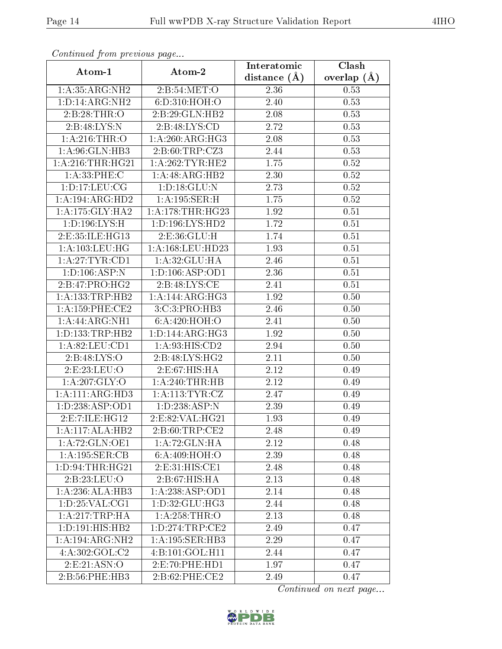| Continued from previous page |                                | Interatomic    | Clash         |
|------------------------------|--------------------------------|----------------|---------------|
| Atom-1                       | Atom-2                         | distance $(A)$ | overlap $(A)$ |
| 1: A:35: ARG: NH2            | 2: B:54:MET:O                  | 2.36           | 0.53          |
| 1: D: 14: ARG: NH2           | 6:D:310:HOH:O                  | 2.40           | 0.53          |
| 2: B:28:THR:O                | 2: B:29: GLN: HB2              | 2.08           | 0.53          |
| 2:B:48:LYS:N                 | 2:B:48:LYS:CD                  | 2.72           | 0.53          |
| 1: A:216:THR:O               | 1:A:260:ARG:HG3                | 2.08           | 0.53          |
| 1: A:96: GLN:HB3             | 2: B:60:TRP: CZ3               | 2.44           | 0.53          |
| 1: A:216:THR:HG21            | 1: A:262:TYR:HE2               | 1.75           | $0.52\,$      |
| 1: A:33: PHE: C              | 1:A:48:ARG:HB2                 | 2.30           | $0.52\,$      |
| 1: D: 17: LEU: CG            | 1: D: 18: GLU: N               | 2.73           | 0.52          |
| 1:A:194:ARG:HD2              | 1: A: 195: SER:H               | 1.75           | $0.52\,$      |
| 1:A:175:GLY:HA2              | 1:A:178:THR:HG23               | 1.92           | 0.51          |
| 1: D: 196: LYS: H            | 1: D: 196: LYS: HD2            | 1.72           | 0.51          |
| 2:E:35:ILE:HG13              | 2: E: 36: GLU: H               | 1.74           | 0.51          |
| 1:A:103:LEU:HG               | 1: A: 168: LEU: HD23           | 1.93           | 0.51          |
| 1: A:27:TYR:CD1              | 1:A:32:GLU:HA                  | 2.46           | 0.51          |
| 1: D: 106: ASP: N            | 1: D: 106: ASP: OD1            | 2.36           | 0.51          |
| 2:B:47:PRO:HG2               | 2: B:48: LYS: CE               | 2.41           | 0.51          |
| 1:A:133:TRP:HB2              | 1:A:144:ARG:HG3                | 1.92           | 0.50          |
| 1: A:159:PHE:CE2             | 3:C:3:PRO:HB3                  | 2.46           | 0.50          |
| 1:A:44:ARG:NH1               | 6: A:420: HOH:O                | 2.41           | 0.50          |
| 1: D: 133: TRP: HB2          | 1: D: 144: ARG: HG3            | 1.92           | 0.50          |
| 1: A:82: LEU: CD1            | 1: A:93: HIS: CD2              | 2.94           | 0.50          |
| 2:B:48:LYS:O                 | $2: B:48: LYS: H\overline{G2}$ | 2.11           | 0.50          |
| 2:E:23:LEU:O                 | 2:E:67:HIS:HA                  | 2.12           | 0.49          |
| 1: A:207: GLY:O              | 1:A:240:THR:HB                 | 2.12           | 0.49          |
| 1:A:111:ARG:HD3              | 1: A:113:TYR:CZ                | 2.47           | 0.49          |
| 1:D:238:ASP:OD1              | 1:D:238:ASP:N                  | 2.39           | 0.49          |
| 2:E:7:ILE:HG12               | 2:E:82:VAL:HG21                | 1.93           | 0.49          |
| 1:A:117:ALA:HB2              | 2:B:60:TRP:CE2                 | 2.48           | 0.49          |
| 1:A:72:GLN:OE1               | 1: A:72: GLN: HA               | 2.12           | 0.48          |
| 1:A:195:SER:CB               | 6: A:409:HOH:O                 | 2.39           | 0.48          |
| 1: D:94:THR:HG21             | 2:E:31:HIS:CE1                 | 2.48           | 0.48          |
| 2:B:23:LEU:O                 | $2:B:67: \overline{HIS:HA}$    | 2.13           | 0.48          |
| 1:A:236:ALA:HB3              | 1:A:238:ASP:OD1                | 2.14           | 0.48          |
| 1: D: 25: VAL: CG1           | 1:D:32:GLU:HG3                 | 2.44           | 0.48          |
| 1: A:217:TRP:HA              | 1:A:258:THR:O                  | 2.13           | 0.48          |
| 1: D: 191: HIS: HB2          | 1: D: 274: TRP: CE2            | 2.49           | 0.47          |
| 1:A:194:ARG:NH2              | 1:A:195:SER:HB3                | 2.29           | 0.47          |
| 4:A:302:GOL:C2               | 4:B:101:GOL:H11                | 2.44           | 0.47          |
| 2:E:21:ASN:O                 | 2:E:70:PHE:HD1                 | 1.97           | 0.47          |
| 2:B:56:PHE:HB3               | 2: B:62: PHE:CE2               | 2.49           | 0.47          |

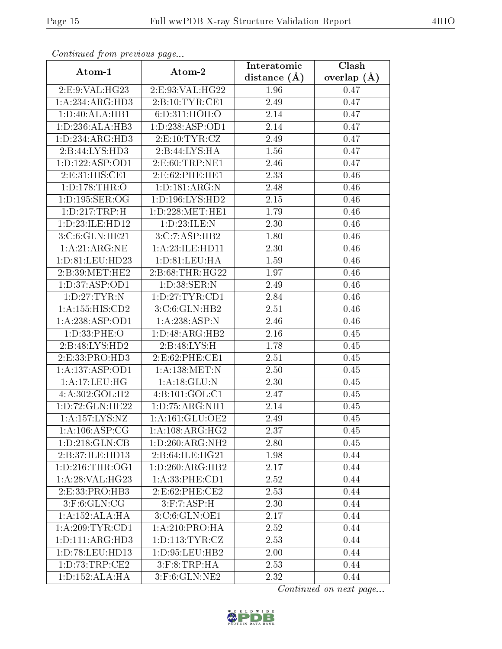| оонынаса јют ртоново раде |                           | Interatomic    | Clash           |
|---------------------------|---------------------------|----------------|-----------------|
| Atom-1                    | Atom-2                    | distance $(A)$ | overlap $(\AA)$ |
| 2:E:9:VAL:HG23            | 2:E:93:VAL:HG22           | 1.96           | 0.47            |
| 1:A:234:ARG:HD3           | 2: B:10:TYR:CE1           | 2.49           | 0.47            |
| 1:D:40:ALA:HB1            | 6: D: 311: HOH:O          | 2.14           | 0.47            |
| 1: D: 236: ALA: HB3       | 1:D:238:ASP:OD1           | 2.14           | 0.47            |
| 1: D: 234: ARG: HD3       | 2: E: 10: TYR: CZ         | 2.49           | 0.47            |
| 2:B:44:LYS:HD3            | 2:B:44:LYS:HA             | 1.56           | 0.47            |
| 1: D: 122: ASP: OD1       | 2: E:60:TRP:NE1           | 2.46           | 0.47            |
| 2: E: 31: HIS: CE1        | 2:E:62:PHE:HE1            | 2.33           | 0.46            |
| 1: D: 178: THR:O          | 1: D: 181: ARG: N         | 2.48           | 0.46            |
| 1: D: 195: SER: OG        | 1: D: 196: LYS: HD2       | 2.15           | 0.46            |
| 1:D:217:TRP:H             | $1: D: 228$ : MET: HE $1$ | 1.79           | 0.46            |
| 1: D: 23: ILE: HD12       | 1:D:23:ILE:N              | 2.30           | 0.46            |
| 3:C:6:GLN:HE21            | 3:C:7:ASP:HB2             | 1.80           | 0.46            |
| 1: A:21: ARG:NE           | 1: A:23: ILE: HD11        | 2.30           | 0.46            |
| 1:D:81:LEU:HD23           | 1: D:81: LEU: HA          | 1.59           | 0.46            |
| 2:B:39:MET:HE2            | 2:B:68:THR:HG22           | 1.97           | 0.46            |
| 1: D: 37: ASP: OD1        | 1: D:38: SER: N           | 2.49           | 0.46            |
| 1: D: 27: TYR: N          | 1: D: 27: TYR: CD1        | 2.84           | 0.46            |
| 1: A: 155: HIS: CD2       | 3:C:6:GLN:HB2             | 2.51           | 0.46            |
| 1:A:238:ASP:OD1           | 1:A:238:ASP:N             | 2.46           | 0.46            |
| 1:D:33:PHE:O              | 1:D:48:ARG:HB2            | 2.16           | 0.45            |
| 2:B:48:LYS:HD2            | 2:B:48:LYS:H              | 1.78           | 0.45            |
| 2:E:33:PRO:HD3            | 2:E:62:PHE:CE1            | 2.51           | 0.45            |
| 1:A:137:ASP:OD1           | $1:$ A:138:MET:N          | 2.50           | 0.45            |
| 1:A:17:LEU:HG             | 1:A:18:GLU:N              | 2.30           | 0.45            |
| 4:A:302:GOL:H2            | 4:B:101:GOL:C1            | 2.47           | 0.45            |
| 1: D: 72: GLN: HE22       | 1:D:75:ARG:NH1            | 2.14           | 0.45            |
| 1: A: 157: LYS: NZ        | 1:A:161:GLU:OE2           | 2.49           | 0.45            |
| 1: A: 106: ASP: CG        | 1: A:108: ARG: HG2        | 2.37           | 0.45            |
| 1: D: 218: GLN: CB        | 1:D:260:ARG:NH2           | 2.80           | 0.45            |
| 2:B:37:ILE:HD13           | 2:B:64:ILE:HG21           | 1.98           | 0.44            |
| 1: D: 216: THR: OG1       | 1: D:260: ARG: HB2        | 2.17           | 0.44            |
| 1: A:28: VAL:HG23         | 1: A:33: PHE:CD1          | 2.52           | 0.44            |
| 2: E: 33: PRO: HB3        | 2:E:62:PHE:CE2            | 2.53           | 0.44            |
| $3:$ F:6:GLN:CG           | 3: F: 7: ASP:H            | 2.30           | 0.44            |
| 1:A:152:ALA:HA            | 3:C:6:GLN:OE1             | 2.17           | 0.44            |
| 1: A:209:TYR:CD1          | 1: A:210:PRO:HA           | 2.52           | 0.44            |
| 1: D: 111: ARG: HD3       | 1: D: 113: TYR: CZ        | 2.53           | 0.44            |
| 1: D: 78: LEU: HD13       | 1: D: 95: LEU: HB2        | 2.00           | 0.44            |
| 1: D: 73: TRP: CE2        | $3:$ F: $8:$ TRP: $HA$    | 2.53           | 0.44            |
| 1:D:152:ALA:HA            | $3:$ F:6:GLN:NE2          | 2.32           | 0.44            |

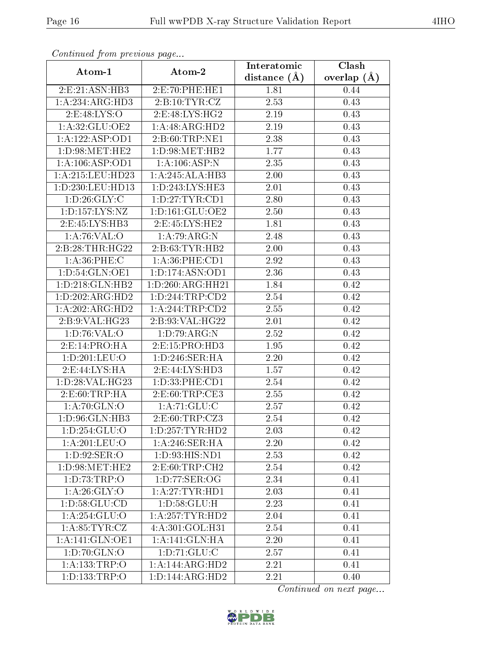| Continuation providuo puga            |                               | Interatomic    | Clash           |
|---------------------------------------|-------------------------------|----------------|-----------------|
| Atom-1                                | Atom-2                        | distance $(A)$ | overlap $(\AA)$ |
| 2:E:21:ASN:HB3                        | 2:E:70:PHE:HE1                | 1.81           | 0.44            |
| 1: A:234: ARG:HD3                     | 2:B:10:TYR:CZ                 | 2.53           | 0.43            |
| 2:E:48:LYS:O                          | 2: E:48: LYS: HG2             | 2.19           | 0.43            |
| 1: A:32: GLU:OE2                      | 1:A:48:ARG:HD2                | 2.19           | 0.43            |
| 1:A:122:ASP:OD1                       | 2:B:60:TRP:NE1                | 2.38           | 0.43            |
| 1: D:98:MET:HE2                       | 1: D:98: MET:HB2              | 1.77           | 0.43            |
| 1:A:106:ASP:OD1                       | $1:\overline{A:106:ASP:N}$    | 2.35           | 0.43            |
| 1:A:215:LEU:HD23                      | 1:A:245:ALA:HB3               | 2.00           | 0.43            |
| 1:D:230:LEU:HD13                      | 1:D:243:LYS:HE3               | 2.01           | 0.43            |
| 1: D:26: GLY: C                       | 1:D:27:TYR:CD1                | 2.80           | 0.43            |
| 1: D: 157: LYS: NZ                    | 1: D: 161: GLU: OE2           | 2.50           | 0.43            |
| 2:E:45:LYS:HB3                        | 2:E:45:LYS:HE2                | 1.81           | 0.43            |
| 1: A:76: VAL:O                        | 1:A:79:ARG:N                  | 2.48           | 0.43            |
| 2:B:28:THR:HG22                       | 2:B:63:TYR:HB2                | 2.00           | 0.43            |
| 1: A:36:PHE: C                        | 1:A:36:PHE:CD1                | 2.92           | 0.43            |
| 1: D:54: GLN:OE1                      | 1: D: 174: ASN: OD1           | 2.36           | 0.43            |
| 1: D: 218: GLN: HB2                   | $1:D:260:ARG:\overline{HH21}$ | 1.84           | 0.42            |
| 1:D:202:ARG:HD2                       | 1: D: 244: TRP: CD2           | 2.54           | 0.42            |
| $1:A:202:A\overline{\mathrm{RG:HD2}}$ | 1:A:244:TRP:CD2               | 2.55           | 0.42            |
| 2:B:9:VAL:HG23                        | 2:B:93:VAL:HG22               | 2.01           | 0.42            |
| 1: D:76: VAL:O                        | 1: D: 79: ARG: N              | 2.52           | 0.42            |
| 2: E: 14: PRO:H A                     | 2: E: 15: PRO: HD3            | 1.95           | 0.42            |
| 1:D:201:LEU:O                         | 1: D:246: SER: HA             | 2.20           | 0.42            |
| 2: E:44: LYS: HA                      | 2:E:44:LYS:HD3                | 1.57           | 0.42            |
| 1: D:28: VAL:HG23                     | 1: D: 33: PHE: CD1            | 2.54           | 0.42            |
| 2:E:60:TRP:HA                         | 2:E:60:TRP:CE3                | 2.55           | 0.42            |
| 1: A:70: GLN:O                        | 1: A:71: GLU: C               | 2.57           | 0.42            |
| 1:D:96:GLN:HB3                        | 2:E:60:TRP:CZ3                | 2.54           | 0.42            |
| 1: D: 254: GLU: O                     | 1: D: 257: TYR: HD2           | 2.03           | 0.42            |
| 1:A:201:LEU:O                         | 1: A:246: SER: HA             | 2.20           | 0.42            |
| 1: D:92: SER:O                        | 1:D:93:HIS:ND1                | 2.53           | 0.42            |
| 1: D:98:MET:HE2                       | 2: E:60:TRP:CH2               | 2.54           | 0.42            |
| 1: D: 73: TRP:O                       | 1: D:77: SER:OG               | 2.34           | 0.41            |
| 1:A:26:GLY:O                          | 1: A:27:TYR:HD1               | 2.03           | 0.41            |
| 1: D: 58: GLU: CD                     | 1: D: 58: GLU: H              | 2.23           | 0.41            |
| 1:A:254:GLU:O                         | 1:A:257:TYR:HD2               | 2.04           | 0.41            |
| 1: A:85:TYR:CZ                        | 4:A:301:GOL:H31               | 2.54           | 0.41            |
| 1: A:141: GLN:OE1                     | 1: A:141: GLN: HA             | 2.20           | 0.41            |
| 1: D: 70: GLN: O                      | 1: D: 71: GLU: C              | 2.57           | 0.41            |
| 1: A: 133: TRP:O                      | 1:A:144:ARG:HD2               | 2.21           | 0.41            |
| 1:D:133:TRP:O                         | $1:D:144:A\overline{RG:HD2}$  | 2.21           | 0.40            |

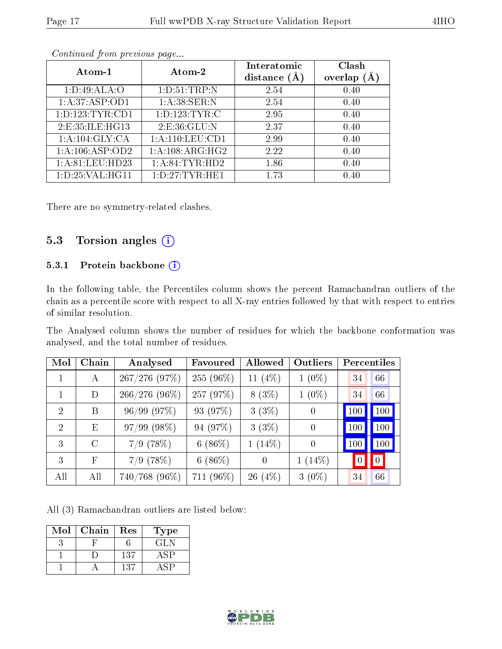| Atom-1              | Atom-2             | Interatomic<br>distance $(A)$ | Clash<br>overlap<br>(A) |
|---------------------|--------------------|-------------------------------|-------------------------|
| 1: D:49: ALA:O      | 1: D:51:TRP:N      | 2.54                          | 0.40                    |
| 1: A:37: ASP:OD1    | 1: A:38: SER: N    | 2.54                          | 0.40                    |
| 1: D: 123: TYR: CD1 | 1: D: 123: TYR: C  | 2.95                          | 0.40                    |
| 2:E:35:ILE:HG13     | 2: E:36: GLU:N     | 2.37                          | 0.40                    |
| 1:A:104:GLY:CA      | 1: A:110: LEU: CD1 | 2.99                          | 0.40                    |
| 1:A:106:ASP:OD2     | 1: A:108: ARG: HG2 | 2.22                          | 0.40                    |
| 1: A:81: LEU:HD23   | 1: A:84:TYR:HD2    | 1.86                          | 0.40                    |
| 1: D: 25: VAL: HG11 | 1: D: 27: TYR: HE1 | 1.73                          | 0.40                    |

There are no symmetry-related clashes.

### 5.3 Torsion angles  $(i)$

#### 5.3.1 Protein backbone (i)

In the following table, the Percentiles column shows the percent Ramachandran outliers of the chain as a percentile score with respect to all X-ray entries followed by that with respect to entries of similar resolution.

The Analysed column shows the number of residues for which the backbone conformation was analysed, and the total number of residues.

| Mol            | Chain         | Analysed         | Favoured   | Allowed    | Outliers       | Percentiles     |     |
|----------------|---------------|------------------|------------|------------|----------------|-----------------|-----|
| 1              | A             | $267/276$ (97%)  | 255 (96%)  | 11 $(4\%)$ | $1(0\%)$       | 34              | 66  |
|                | D             | $266/276(96\%)$  | 257 (97%)  | $8(3\%)$   | $1(0\%)$       | 34              | 66  |
| $\overline{2}$ | B             | 96/99(97%)       | 93 (97%)   | 3(3%)      | $\theta$       | 100             | 100 |
| $\overline{2}$ | E             | $97/99$ $(98\%)$ | 94 (97%)   | 3(3%)      | $\overline{0}$ | 100             | 100 |
| 3              | $\mathcal{C}$ | $7/9$ (78%)      | 6 $(86\%)$ | $1(14\%)$  | $\overline{0}$ | 100             | 100 |
| 3              | $_{\rm F}$    | $7/9$ (78%)      | $6(86\%)$  | $\theta$   | $1(14\%)$      | $\vert 0 \vert$ | 0   |
| All            | All           | $740/768$ (96\%) | 711 (96%)  | $26(4\%)$  | $3(0\%)$       | 34              | 66  |

All (3) Ramachandran outliers are listed below:

| Mol | Chain | Res | Type' |
|-----|-------|-----|-------|
|     |       |     | GLN   |
|     |       | 137 |       |
|     |       | 137 |       |

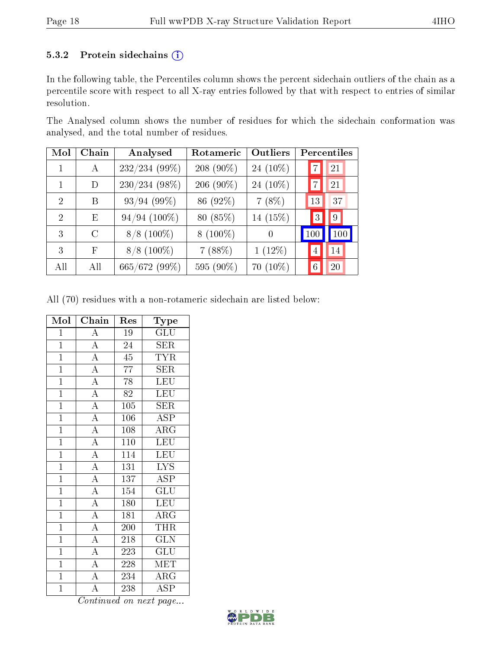#### 5.3.2 Protein sidechains (i)

In the following table, the Percentiles column shows the percent sidechain outliers of the chain as a percentile score with respect to all X-ray entries followed by that with respect to entries of similar resolution.

The Analysed column shows the number of residues for which the sidechain conformation was analysed, and the total number of residues.

| Mol            | Chain   | Analysed<br>Rotameric |            | Outliers    | Percentiles          |
|----------------|---------|-----------------------|------------|-------------|----------------------|
| 1              | A       | 232/234 (99%)         | 208 (90\%) | 24 $(10\%)$ | 21<br>$\overline{7}$ |
|                | D       | $230/234(98\%)$       | 206 (90%)  | 24 $(10\%)$ | 21<br>7              |
| 2              | B       | 93/94(99%)            | 86 (92%)   | $7(8\%)$    | 37<br>13             |
| $\mathfrak{D}$ | E       | $94/94$ (100%)        | 80 (85%)   | 14 (15%)    | $\overline{0}$<br>3  |
| 3              | $\rm C$ | $8/8$ (100\%)         | $8(100\%)$ | 0           | 100<br>100           |
| 3              | F       | $8/8$ (100%)          | 7(88%)     | $1(12\%)$   | 14<br>4              |
| All            | All     | 665/672 (99%)         | 595 (90%)  | $70(10\%)$  | 6<br>20              |

All (70) residues with a non-rotameric sidechain are listed below:

| Mol            | Chain                               | Res              | Type                      |
|----------------|-------------------------------------|------------------|---------------------------|
| $\mathbf{1}$   | $\boldsymbol{A}$                    | 19               | GLU                       |
| $\overline{1}$ | $\overline{A}$                      | $\overline{24}$  | $\overline{\text{SER}}$   |
| $\overline{1}$ | $\frac{\overline{A}}{\overline{A}}$ | $\overline{45}$  | $\overline{\text{TYR}}$   |
| $\mathbf{1}$   |                                     | 77               | $\bar{\text{SER}}$        |
| $\overline{1}$ | $\overline{A}$                      | 78               | LEU                       |
| $\overline{1}$ | $\frac{\overline{A}}{\overline{A}}$ | 82               | <b>LEU</b>                |
| $\overline{1}$ |                                     | $\overline{105}$ | <b>SER</b>                |
| $\overline{1}$ | $\frac{\overline{A}}{A}$            | 106              | <b>ASP</b>                |
| $\overline{1}$ |                                     | 108              | $\overline{\rm ARG}$      |
| $\overline{1}$ | $\overline{A}$                      | 110              | LEU                       |
| $\overline{1}$ | $\overline{A}$                      | 114              | LEU                       |
| $\mathbf{1}$   | $\overline{A}$                      | $\overline{1}31$ | $\overline{\text{LYS}}$   |
| $\mathbf{1}$   | $\overline{A}$                      | $\overline{137}$ | <b>ASP</b>                |
| $\mathbf{1}$   | $\overline{A}$                      | 154              | $\mathrm{GL}\mathrm{U}$   |
| $\overline{1}$ | $\overline{A}$                      | <b>180</b>       | LEU                       |
| $\mathbf{1}$   | $\frac{\overline{A}}{\overline{A}}$ | 181              | ARG                       |
| $\overline{1}$ |                                     | 200              | <b>THR</b>                |
| $\overline{1}$ | $\frac{1}{\mathbf{A}}$              | $\overline{218}$ | $\overline{\text{GLN}}$   |
| $\overline{1}$ | $\frac{\overline{A}}{\overline{A}}$ | 223              | $\overline{\mathrm{GLU}}$ |
| $\overline{1}$ |                                     | 228              | MET                       |
| $\overline{1}$ | $\frac{\overline{A}}{\overline{A}}$ | 234              | $\overline{\rm ARG}$      |
| $\overline{1}$ |                                     | 238              | ASP                       |

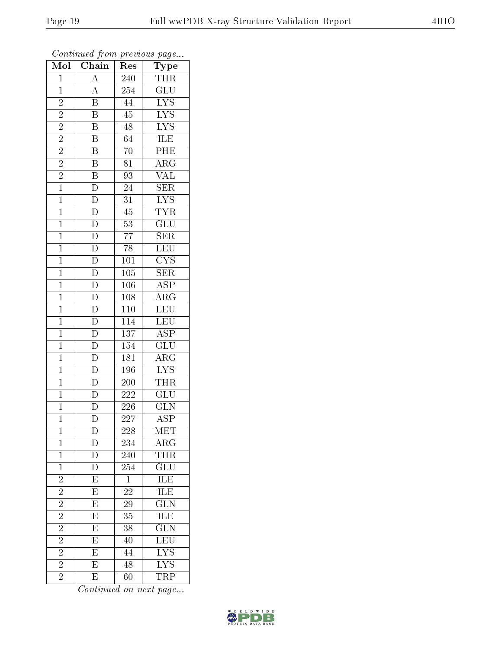| Mol            | $\overline{\text{Chain}}$           | Res                                    | Type                    |
|----------------|-------------------------------------|----------------------------------------|-------------------------|
| $\mathbf{1}$   | $\overline{A}$                      | 240                                    | <b>THR</b>              |
| $\mathbf 1$    | $\overline{A}$                      | 254                                    | $\overline{\text{GLU}}$ |
| $\overline{2}$ | $\overline{\mathrm{B}}$             | $\overline{44}$                        | $\overline{\text{LYS}}$ |
| $\overline{2}$ | $\overline{\mathrm{B}}$             | $\overline{45}$                        | $\overline{\text{LYS}}$ |
| $\overline{2}$ | $\overline{\mathrm{B}}$             | 48                                     | $\overline{\text{LYS}}$ |
| $\overline{c}$ | B                                   | 64                                     | ILE                     |
| $\overline{c}$ | $\overline{\mathrm{B}}$             | 70                                     | PHE                     |
| $\overline{2}$ | $\overline{\mathrm{B}}$             | $\overline{81}$                        | $\overline{\text{ARG}}$ |
| $\overline{2}$ | $\overline{B}$                      | 93                                     | <b>VAL</b>              |
| $\overline{1}$ | $rac{1}{\overline{D}}$              | $\overline{24}$                        | $\overline{\text{SER}}$ |
| $\mathbf{1}$   | $\overline{\rm D}$                  | $\overline{31}$                        | $\overline{\text{LYS}}$ |
| $\overline{1}$ | $\overline{D}$                      | $\overline{45}$                        | $\overline{\text{TYR}}$ |
| $\overline{1}$ |                                     | $\overline{53}$                        | $\overline{\text{GLU}}$ |
| $\overline{1}$ | $\frac{\overline{D}}{D}$            | $\overline{77}$                        | <b>SER</b>              |
| $\overline{1}$ | $\frac{1}{D}$                       | $\overline{78}$                        | $\overline{\text{LEU}}$ |
| $\mathbf{1}$   | $\overline{\mathbf{D}}$             | 101                                    | $\overline{\text{CYS}}$ |
| $\overline{1}$ | $\overline{D}$                      | $\overline{105}$                       | $\overline{\text{SER}}$ |
| $\mathbf{1}$   | $\overline{D}$                      | 106                                    | <b>ASP</b>              |
| $\overline{1}$ | $\overline{\mathrm{D}}$             | 108                                    | $\overline{\rm{ARG}}$   |
| $\overline{1}$ | $\overline{\rm D}$                  | 110                                    | LEU                     |
| $\mathbf{1}$   | $\overline{D}$                      | 114                                    | LEU                     |
| $\overline{1}$ | $\frac{\overline{D}}{D}$            | $\overline{137}$                       | $\overline{\text{ASP}}$ |
| $\mathbf{1}$   |                                     | 154                                    | $\overline{\text{GLU}}$ |
| $\overline{1}$ | $\overline{\rm D}$                  | $\overline{181}$                       | $\overline{\rm{ARG}}$   |
| $\mathbf{1}$   | $\overline{D}$                      | 196                                    | $\overline{\text{LYS}}$ |
| $\mathbf{1}$   | $\frac{\overline{D}}{\overline{D}}$ | 200                                    | <b>THR</b>              |
| $\mathbf{1}$   |                                     | 222                                    | $\overline{\text{GLU}}$ |
| $\mathbf{1}$   | $\overline{\rm D}$                  | 226                                    | $\overline{\text{GLN}}$ |
| $\overline{1}$ | $\overline{\rm D}$                  | $\overline{2}\overline{2}\overline{7}$ | $\overline{\text{ASP}}$ |
| $\mathbf 1$    | $\overline{\rm D}$                  | 228                                    | MET                     |
| $\mathbf{1}$   | D                                   | 234                                    | $\rm{ARG}$              |
| $\mathbf{1}$   | $\overline{\rm D}$                  | 240                                    | <b>THR</b>              |
| $\mathbf{1}$   | D                                   | 254                                    | $\overline{{\rm GLU}}$  |
| $\overline{2}$ | $\overline{\mathrm{E}}$             | $\overline{1}$                         | <b>ILE</b>              |
| $\overline{c}$ | E                                   | 22                                     | $\overline{\text{ILE}}$ |
| $\overline{2}$ | $\overline{E}$                      | $\overline{2}9$                        | $\overline{\text{GLN}}$ |
| $\overline{c}$ | $\overline{E}$                      | 35                                     | ILE                     |
| $\overline{2}$ | $\overline{\mathrm{E}}$             | 38                                     | $\overline{\text{GLN}}$ |
| $\overline{2}$ | $\overline{\mathrm{E}}$             | 40                                     | $\overline{\text{LEU}}$ |
| $\overline{2}$ | $\overline{\mathrm{E}}$             | 44                                     | $\overline{\text{LYS}}$ |
| $\overline{2}$ | $\overline{\mathrm{E}}$             | 48                                     | $\overline{\text{LYS}}$ |
| $\overline{2}$ | E                                   | $60\,$                                 | <b>TRP</b>              |

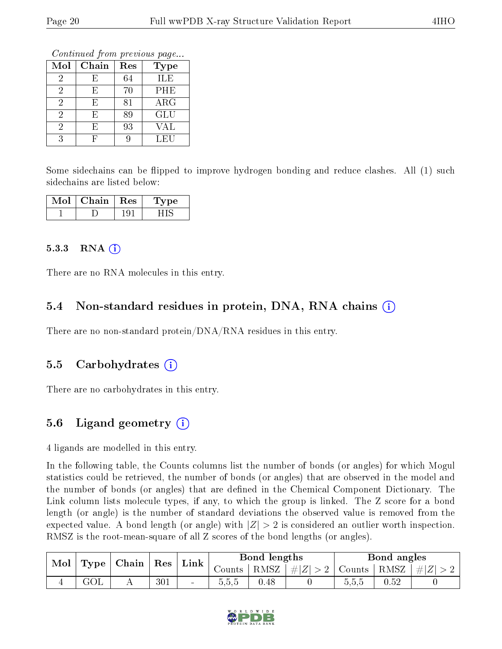Continued from previous page...

| Mol          | Chain | Res | <b>Type</b> |
|--------------|-------|-----|-------------|
| $\mathbf{z}$ | F)    | 64  | ILE         |
| 2            | F)    | 70  | PHE         |
| 2            | Н,    | 81  | $\rm{ARG}$  |
| 2            | Н,    | 89  | GLU         |
|              | H,    | 93  | VAL         |
|              |       |     | LEU         |

Some sidechains can be flipped to improve hydrogen bonding and reduce clashes. All (1) such sidechains are listed below:

| Mol | Chain | Res | $^{\prime}$ pe |
|-----|-------|-----|----------------|
|     |       |     |                |

#### 5.3.3 RNA (1)

There are no RNA molecules in this entry.

### 5.4 Non-standard residues in protein, DNA, RNA chains (i)

There are no non-standard protein/DNA/RNA residues in this entry.

### 5.5 Carbohydrates (i)

There are no carbohydrates in this entry.

### 5.6 Ligand geometry  $(i)$

4 ligands are modelled in this entry.

In the following table, the Counts columns list the number of bonds (or angles) for which Mogul statistics could be retrieved, the number of bonds (or angles) that are observed in the model and the number of bonds (or angles) that are dened in the Chemical Component Dictionary. The Link column lists molecule types, if any, to which the group is linked. The Z score for a bond length (or angle) is the number of standard deviations the observed value is removed from the expected value. A bond length (or angle) with  $|Z| > 2$  is considered an outlier worth inspection. RMSZ is the root-mean-square of all Z scores of the bond lengths (or angles).

| Mol |                   | $\mid$ Chain $\mid$ Res |     | $\mathbf{Link}$ |        | Bond lengths |                                                           |         | Bond angles |               |
|-----|-------------------|-------------------------|-----|-----------------|--------|--------------|-----------------------------------------------------------|---------|-------------|---------------|
|     | Type <sub>1</sub> |                         |     |                 | Counts |              | $\vert$ RMSZ $\vert \# \vert Z \vert > 2$   Counts   RMSZ |         |             | $T +  Z  > 2$ |
|     | GOL               | $\overline{1}$          | 301 | $\blacksquare$  | 5,5,5  | 0.48         |                                                           | b, b, b | 0.52        |               |

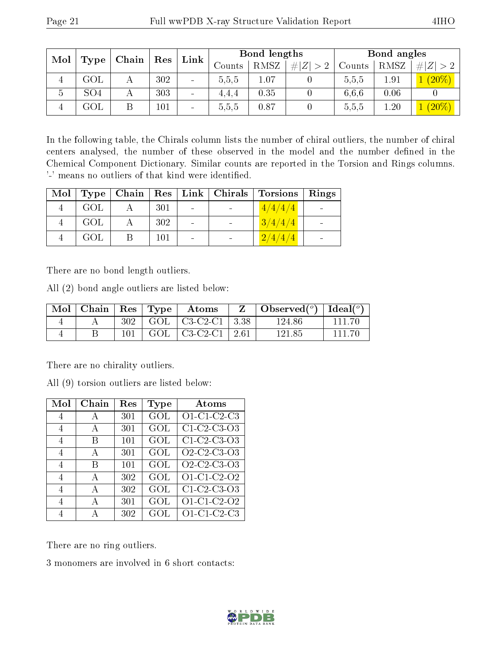| Mol            | Chain           |   | Link                 | Bond lengths             |       |      |  | Bond angles |          |                       |      |             |        |      |             |
|----------------|-----------------|---|----------------------|--------------------------|-------|------|--|-------------|----------|-----------------------|------|-------------|--------|------|-------------|
|                | Type            |   | $\operatorname{Res}$ |                          |       |      |  |             |          | Counts                | RMSZ | # $ Z  > 2$ | Counts | RMSZ | # $ Z  > 2$ |
|                | $\rm GOL$       | А | 302                  | $\sim$                   | 5.5,5 | 1.07 |  | 5,5,5       | $1.91\,$ | $\left( 20\% \right)$ |      |             |        |      |             |
| $\mathfrak{O}$ | SO <sub>4</sub> |   | 303                  | $\sim$                   | 4.4.4 | 0.35 |  | 6.6.6       | 0.06     |                       |      |             |        |      |             |
|                | GOL             |   | $101\,$              | $\overline{\phantom{a}}$ | 5.5,5 | 0.87 |  | 5,5,5       | 1.20     | $(20\%)$              |      |             |        |      |             |

In the following table, the Chirals column lists the number of chiral outliers, the number of chiral centers analysed, the number of these observed in the model and the number defined in the Chemical Component Dictionary. Similar counts are reported in the Torsion and Rings columns. '-' means no outliers of that kind were identified.

|     |     |  | Mol   Type   Chain   Res   Link   Chirals   Torsions   Rings |  |
|-----|-----|--|--------------------------------------------------------------|--|
| GOL | 301 |  | 4/4/4/4                                                      |  |
| GOL | 302 |  | 3/4/4/4                                                      |  |
| GOL | 101 |  | 2/4/4/4                                                      |  |

There are no bond length outliers.

All (2) bond angle outliers are listed below:

| Mol | r   Chain |     | $\operatorname{Res}$   $\operatorname{Type}$ | Atoms                           | Z | $\Box$ Observed $\Box$   Ideal $\Box$ |        |
|-----|-----------|-----|----------------------------------------------|---------------------------------|---|---------------------------------------|--------|
|     |           | 302 |                                              | GOL $\mid$ C3-C2-C1 $\mid$ 3.38 |   | 124.86                                | 111 70 |
|     |           | 101 |                                              | GOL $\mid$ C3-C2-C1 $\mid$ 2.61 |   | 121.85                                | 111.70 |

There are no chirality outliers.

All (9) torsion outliers are listed below:

| Mol | Chain        | $\operatorname{Res}% \left( \mathcal{N}\right) \equiv\operatorname{Res}(\mathcal{N}_{0})\left( \mathcal{N}_{0}\right) ^{\ast}$ | Type | Atoms                                                          |
|-----|--------------|--------------------------------------------------------------------------------------------------------------------------------|------|----------------------------------------------------------------|
| 4   | А            | 301                                                                                                                            | GOL  | O1-C1-C2-C3                                                    |
| 4   | A            | 301                                                                                                                            | GOL  | C1 C2 C3 O3                                                    |
| 4   | В            | 101                                                                                                                            | GOL  | $C1-C2-C3-O3$                                                  |
| 4   | A            | 301                                                                                                                            | GOL  | O <sub>2</sub> -C <sub>2</sub> -C <sub>3</sub> -O <sub>3</sub> |
| 4   | В            | 101                                                                                                                            | GOL  | O <sub>2</sub> -C <sub>2</sub> -C <sub>3</sub> -O <sub>3</sub> |
| 4   | А            | 302                                                                                                                            | GOL  | O1-C1-C2-O2                                                    |
| 4   | А            | 302                                                                                                                            | GOL  | C1-C2-C3-O3                                                    |
| 4   | $\mathbf{A}$ | 301                                                                                                                            | GOL  | O1-C1-C2-O2                                                    |
| 4   | А            | 302                                                                                                                            | GOL  | O1-C1-C2-C3                                                    |

There are no ring outliers.

3 monomers are involved in 6 short contacts:

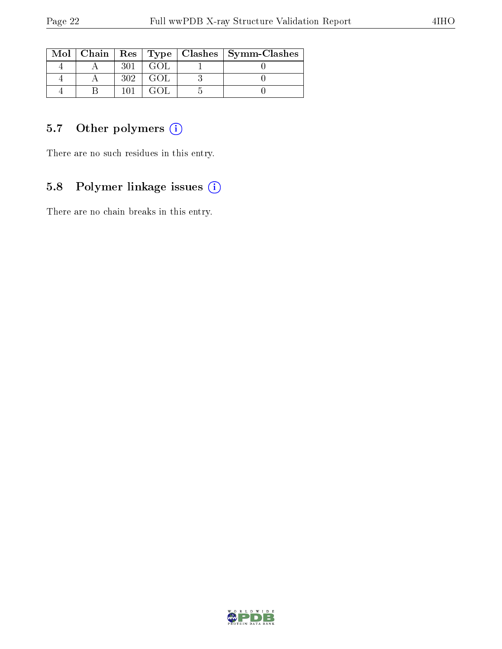|  |     |      | $\text{Mol}$   Chain   Res   Type   Clashes   Symm-Clashes |
|--|-----|------|------------------------------------------------------------|
|  | 301 |      |                                                            |
|  | 302 | GOL. |                                                            |
|  |     |      |                                                            |

## 5.7 [O](https://www.wwpdb.org/validation/2017/XrayValidationReportHelp#nonstandard_residues_and_ligands)ther polymers (i)

There are no such residues in this entry.

## 5.8 Polymer linkage issues (i)

There are no chain breaks in this entry.

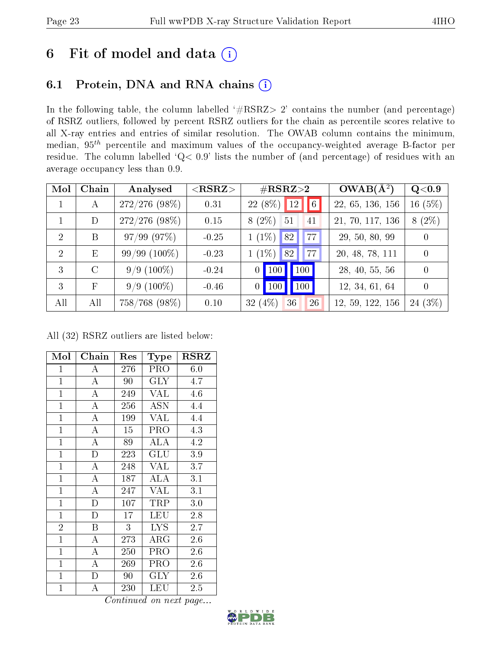# 6 Fit of model and data  $(i)$

## 6.1 Protein, DNA and RNA chains  $(i)$

In the following table, the column labelled  $#RSRZ> 2'$  contains the number (and percentage) of RSRZ outliers, followed by percent RSRZ outliers for the chain as percentile scores relative to all X-ray entries and entries of similar resolution. The OWAB column contains the minimum, median,  $95<sup>th</sup>$  percentile and maximum values of the occupancy-weighted average B-factor per residue. The column labelled ' $Q< 0.9$ ' lists the number of (and percentage) of residues with an average occupancy less than 0.9.

| Mol            | Chain         | Analysed        | $<$ RSRZ $>$ | $\#\text{RSRZ}\text{>2}$              | $OWAB(A^2)$      | $Q<$ 0.9 |
|----------------|---------------|-----------------|--------------|---------------------------------------|------------------|----------|
|                | A             | $272/276(98\%)$ | 0.31         | $22(8\%)$ 12<br> 6                    | 22, 65, 136, 156 | 16(5%)   |
|                | D             | $272/276(98\%)$ | 0.15         | $8(2\%)$<br>51<br>41                  | 21, 70, 117, 136 | $8(2\%)$ |
| $\mathcal{D}$  | B             | 97/99(97%)      | $-0.25$      | $1(1\%)$<br>77<br>82                  | 29, 50, 80, 99   | $\theta$ |
| $\overline{2}$ | E             | $99/99(100\%)$  | $-0.23$      | $1(1\%)$<br>77<br>82                  | 20, 48, 78, 111  | $\theta$ |
| 3              | $\mathcal{C}$ | $9/9(100\%)$    | $-0.24$      | $\vert$ 100<br>100<br>$\vert 0 \vert$ | 28, 40, 55, 56   | $\theta$ |
| 3              | $_{\rm F}$    | $9/9(100\%)$    | $-0.46$      | 100<br>$\vert$ 100<br>$\overline{0}$  | 12, 34, 61, 64   | $\Omega$ |
| All            | All           | 758/768 (98%)   | 0.10         | 32 $(4%)$<br>36<br>26                 | 12, 59, 122, 156 | 24 (3%)  |

All (32) RSRZ outliers are listed below:

| Mol            | Chain              | $\operatorname{Res}% \left( \mathcal{N}\right) \equiv\operatorname{Res}(\mathcal{N}_{0})\cap\mathcal{N}_{1}$ | Type       | $_{\rm RSRZ}$ |
|----------------|--------------------|--------------------------------------------------------------------------------------------------------------|------------|---------------|
| $\mathbf{1}$   | А                  | 276                                                                                                          | <b>PRO</b> | 6.0           |
| $\mathbf{1}$   | $\overline{A}$     | 90                                                                                                           | <b>GLY</b> | 4.7           |
| $\mathbf{1}$   | $\overline{\rm A}$ | 249                                                                                                          | <b>VAL</b> | 4.6           |
| $\mathbf{1}$   | $\overline{A}$     | 256                                                                                                          | <b>ASN</b> | 4.4           |
| $\mathbf{1}$   | $\overline{\rm A}$ | 199                                                                                                          | VAL        | 4.4           |
| $\overline{1}$ | $\overline{\rm A}$ | 15                                                                                                           | PRO        | 4.3           |
| $\overline{1}$ | $\overline{\rm A}$ | 89                                                                                                           | <b>ALA</b> | 4.2           |
| $\mathbf{1}$   | $\mathbf{D}$       | 223                                                                                                          | GLU        | 3.9           |
| $\mathbf{1}$   | A                  | 248                                                                                                          | <b>VAL</b> | 3.7           |
| $\mathbf{1}$   | $\overline{\rm A}$ | 187                                                                                                          | ALA        | 3.1           |
| $\mathbf{1}$   | $\boldsymbol{A}$   | 247                                                                                                          | <b>VAL</b> | 3.1           |
| $\overline{1}$ | $\mathbf{D}$       | 107                                                                                                          | TRP        | 3.0           |
| $\mathbf{1}$   | $\mathbf{D}$       | 17                                                                                                           | LEU        | 2.8           |
| $\overline{2}$ | B                  | 3                                                                                                            | <b>LYS</b> | 2.7           |
| $\mathbf{1}$   | $\overline{\rm A}$ | 273                                                                                                          | $\rm{ARG}$ | 2.6           |
| $\mathbf{1}$   | $\overline{A}$     | 250                                                                                                          | PRO        | 2.6           |
| $\mathbf{1}$   | A                  | 269                                                                                                          | PRO        | 2.6           |
| $\mathbf{1}$   | D                  | 90                                                                                                           | GLY        | 2.6           |
| $\mathbf{1}$   | A                  | 230                                                                                                          | LEU        | 2.5           |